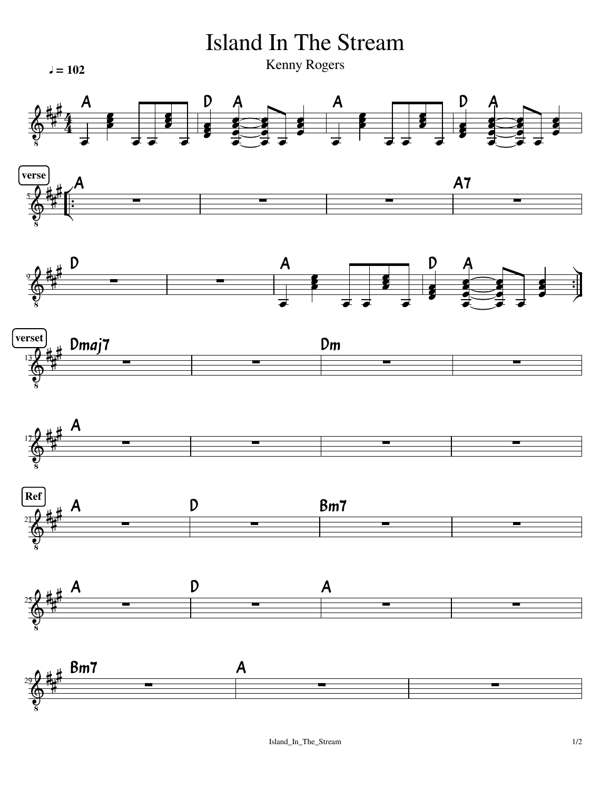5 Island In The Stream Kenny Rogers 9 13 17<del>7 hui – La Carlo La Carlo La Carlo La Carlo La Carlo La Carlo La Carlo La Carlo La Carlo La Carlo La Carlo L</del> 21 **y** 22 meter - 2002 - 2003 - 2004 - 2005 - 2006 - 2007 - 2008 - 2008 - 2008 - 2008 - 2008 - 2008 - 2008 - 20 25 **y** 25 human and 20 years and 20 years and 20 years and 20 years and 20 years and 20 years and 20 years and  $\frac{1}{2}$  $\frac{1}{1}$ ✓ F  $\frac{1}{2}$  $\frac{1}{\cdot}$  $\blacktriangle$ 引<br>少  $\overline{\mathbf{z}}$ ł f  $\frac{1}{\epsilon}$   $\frac{1}{\epsilon}$  $\overline{\phantom{a}}$ **)**<br>2 Ş  $\overline{\phantom{a}}$  $\frac{1}{2}$  $\overline{\bullet}$ ţ  $\overline{\phantom{a}}$  $\overline{\bullet}$  $\overline{\phantom{a}}$  $\overline{\bullet}$ a<br>a  $\bar{\bullet}$ a<br>a  $\bar{\bullet}$  $\overline{\phantom{0}}$  $\overline{\bullet}$ a<br>J  $\overline{\phantom{a}}$  $\overline{\phantom{a}}$  $\overline{\phantom{a}}$  $\overline{\mathbf{z}}$ f f  $\overline{\phantom{a}}$ **)**<br>2 ţ  $\frac{1}{\sigma}$   $\frac{1}{\sigma}$   $\frac{1}{\sigma}$ {<br>■  $\overline{\phantom{a}}$ a<br>C  $\bar{\bullet}$  $\overline{\bullet}$ Ş  $\overline{\phantom{a}}$  $\overline{\bullet}$ a<br>a Ī  $\frac{1}{2}$  $\overline{\bullet}$ Į  $\overline{\phantom{a}}$ Ż ł f  $\overline{\phantom{a}}$ **)**<br>2  $\overline{\mathbf{1}}$  $\overline{\phantom{a}}$ Ş  $\frac{1}{\sqrt{1-\frac{1}{\sqrt{1-\frac{1}{\sqrt{1-\frac{1}{\sqrt{1-\frac{1}{\sqrt{1-\frac{1}{\sqrt{1-\frac{1}{\sqrt{1-\frac{1}{\sqrt{1-\frac{1}{\sqrt{1-\frac{1}{\sqrt{1-\frac{1}{\sqrt{1-\frac{1}{\sqrt{1-\frac{1}{\sqrt{1-\frac{1}{\sqrt{1-\frac{1}{\sqrt{1-\frac{1}{\sqrt{1-\frac{1}{\sqrt{1-\frac{1}{\sqrt{1-\frac{1}{\sqrt{1-\frac{1}{\sqrt{1-\frac{1}{\sqrt{1-\frac{1}{\sqrt{1-\frac{1}{\sqrt{1-\frac{1}{\sqrt{1-\frac{1$ ן<br>■  $\overline{\bullet}$ i  $\overline{\phantom{a}}$  $\overline{\bullet}$ a<br>a  $\overline{\phantom{0}}$  $\overline{\bullet}$ Į  $\frac{1}{2}$  $\bigotimes$  $\bigotimes$  $\bigotimes$  $rac{13}{4}$  $\bigotimes$  $\bigotimes$  $\bigotimes$ ł ı ł ł i ן<br>⊭ J i ł ł i ∣<br>∰ ł i ł ł i ł ł i ł 4 4<br>4  $\overline{a}$  $\overline{\phantom{a}}$  . The contract of  $\overline{\phantom{a}}$   $\overline{a}$  $\overline{a}$  $\overline{a}$  $\overline{a}$  $\overline{a}$  $\overline{a}$  $\overline{a}$  $\overline{a}$  $\overline{a}$  $\overline{a}$  $\overline{a}$  $\overline{a}$  $\overline{a}$  $\overline{a}$  $\overline{\phantom{a}}$  , and the set of  $\overline{\phantom{a}}$  $l = 102$  Rellily Rogers verse  $\begin{array}{ccc} \bullet & \bullet & \bullet \end{array}$  $\mathsf{verset}$   $\mathsf{v}_\mathsf{true}$   $\mathsf{v}_\mathsf{true}$  $\text{Ref}$  and  $\alpha$  and  $\alpha$  and  $\alpha$  and  $\alpha$  and  $\alpha$  and  $\alpha$  and  $\alpha$  and  $\alpha$  and  $\alpha$  and  $\alpha$  and  $\alpha$  and  $\alpha$  and  $\alpha$  and  $\alpha$  and  $\alpha$  and  $\alpha$  and  $\alpha$  and  $\alpha$  and  $\alpha$  and  $\alpha$  and  $\alpha$  and  $\alpha$  and  $\alpha$  and  $\$ A A  $\mathsf{D}$  $D$  A A A7  $\mathsf{D}$  $\mathsf{D}$ A Dmaj7 A A D D Dm Bm7 A